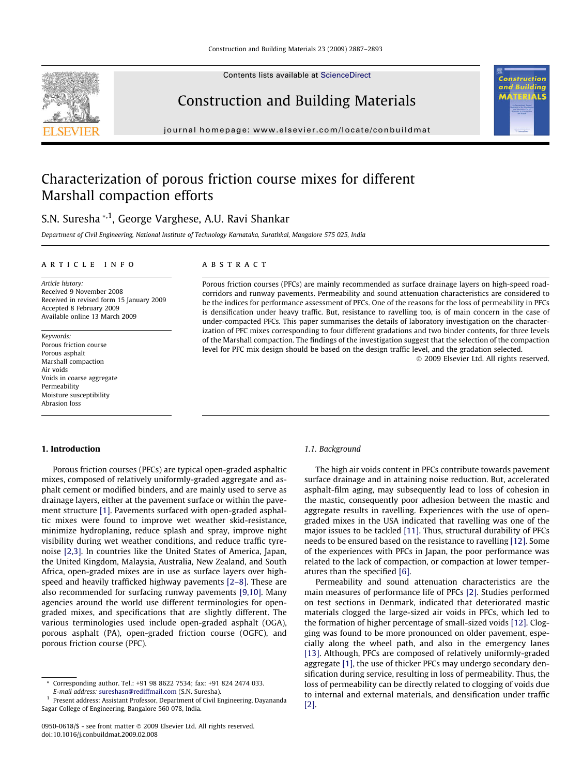Contents lists available at [ScienceDirect](http://www.sciencedirect.com/science/journal/09500618)



Construction and Building Materials

journal homepage: [www.elsevier.com/locate/conbuildmat](http://www.elsevier.com/locate/conbuildmat)

# ΠŚ

# Characterization of porous friction course mixes for different Marshall compaction efforts

## S.N. Suresha \*,1, George Varghese, A.U. Ravi Shankar

Department of Civil Engineering, National Institute of Technology Karnataka, Surathkal, Mangalore 575 025, India

### article info

Article history: Received 9 November 2008 Received in revised form 15 January 2009 Accepted 8 February 2009 Available online 13 March 2009

Keywords: Porous friction course Porous asphalt Marshall compaction Air voids Voids in coarse aggregate Permeability Moisture susceptibility Abrasion loss

### **ABSTRACT**

Porous friction courses (PFCs) are mainly recommended as surface drainage layers on high-speed roadcorridors and runway pavements. Permeability and sound attenuation characteristics are considered to be the indices for performance assessment of PFCs. One of the reasons for the loss of permeability in PFCs is densification under heavy traffic. But, resistance to ravelling too, is of main concern in the case of under-compacted PFCs. This paper summarises the details of laboratory investigation on the characterization of PFC mixes corresponding to four different gradations and two binder contents, for three levels of the Marshall compaction. The findings of the investigation suggest that the selection of the compaction level for PFC mix design should be based on the design traffic level, and the gradation selected.

- 2009 Elsevier Ltd. All rights reserved.

### 1. Introduction

Porous friction courses (PFCs) are typical open-graded asphaltic mixes, composed of relatively uniformly-graded aggregate and asphalt cement or modified binders, and are mainly used to serve as drainage layers, either at the pavement surface or within the pavement structure [\[1\].](#page-5-0) Pavements surfaced with open-graded asphaltic mixes were found to improve wet weather skid-resistance, minimize hydroplaning, reduce splash and spray, improve night visibility during wet weather conditions, and reduce traffic tyrenoise [\[2,3\].](#page-5-0) In countries like the United States of America, Japan, the United Kingdom, Malaysia, Australia, New Zealand, and South Africa, open-graded mixes are in use as surface layers over highspeed and heavily trafficked highway pavements [\[2–8\].](#page-5-0) These are also recommended for surfacing runway pavements [\[9,10\]](#page-6-0). Many agencies around the world use different terminologies for opengraded mixes, and specifications that are slightly different. The various terminologies used include open-graded asphalt (OGA), porous asphalt (PA), open-graded friction course (OGFC), and porous friction course (PFC).

### 1.1. Background

The high air voids content in PFCs contribute towards pavement surface drainage and in attaining noise reduction. But, accelerated asphalt-film aging, may subsequently lead to loss of cohesion in the mastic, consequently poor adhesion between the mastic and aggregate results in ravelling. Experiences with the use of opengraded mixes in the USA indicated that ravelling was one of the major issues to be tackled [\[11\].](#page-6-0) Thus, structural durability of PFCs needs to be ensured based on the resistance to ravelling [\[12\].](#page-6-0) Some of the experiences with PFCs in Japan, the poor performance was related to the lack of compaction, or compaction at lower temperatures than the specified [\[6\]](#page-6-0).

Permeability and sound attenuation characteristics are the main measures of performance life of PFCs [\[2\]](#page-5-0). Studies performed on test sections in Denmark, indicated that deteriorated mastic materials clogged the large-sized air voids in PFCs, which led to the formation of higher percentage of small-sized voids [\[12\].](#page-6-0) Clogging was found to be more pronounced on older pavement, especially along the wheel path, and also in the emergency lanes [\[13\]](#page-6-0). Although, PFCs are composed of relatively uniformly-graded aggregate [\[1\]](#page-5-0), the use of thicker PFCs may undergo secondary densification during service, resulting in loss of permeability. Thus, the loss of permeability can be directly related to clogging of voids due to internal and external materials, and densification under traffic [\[2\]](#page-5-0).

Corresponding author. Tel.: +91 98 8622 7534; fax: +91 824 2474 033. E-mail address: [sureshasn@rediffmail.com](mailto:sureshasn@rediffmail.com) (S.N. Suresha).

<sup>1</sup> Present address: Assistant Professor, Department of Civil Engineering, Dayananda Sagar College of Engineering, Bangalore 560 078, India.

<sup>0950-0618/\$ -</sup> see front matter © 2009 Elsevier Ltd. All rights reserved. doi:10.1016/j.conbuildmat.2009.02.008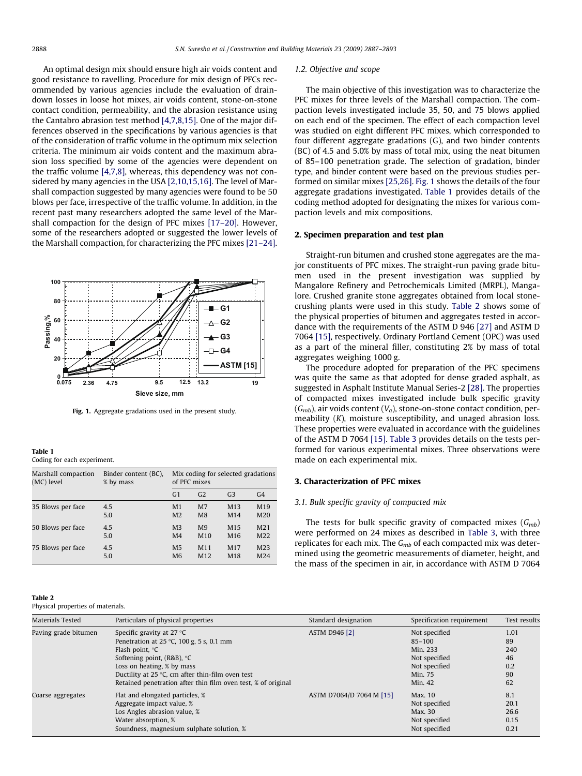An optimal design mix should ensure high air voids content and good resistance to ravelling. Procedure for mix design of PFCs recommended by various agencies include the evaluation of draindown losses in loose hot mixes, air voids content, stone-on-stone contact condition, permeability, and the abrasion resistance using the Cantabro abrasion test method [\[4,7,8,15\].](#page-6-0) One of the major differences observed in the specifications by various agencies is that of the consideration of traffic volume in the optimum mix selection criteria. The minimum air voids content and the maximum abrasion loss specified by some of the agencies were dependent on the traffic volume [\[4,7,8\],](#page-6-0) whereas, this dependency was not considered by many agencies in the USA [\[2,10,15,16\].](#page-5-0) The level of Marshall compaction suggested by many agencies were found to be 50 blows per face, irrespective of the traffic volume. In addition, in the recent past many researchers adopted the same level of the Marshall compaction for the design of PFC mixes [\[17–20\].](#page-6-0) However, some of the researchers adopted or suggested the lower levels of the Marshall compaction, for characterizing the PFC mixes [\[21–24\].](#page-6-0)



Fig. 1. Aggregate gradations used in the present study.

Table 1

Coding for each experiment.

| Marshall compaction | Binder content (BC), | Mix coding for selected gradations |                 |                 |                  |
|---------------------|----------------------|------------------------------------|-----------------|-----------------|------------------|
| (MC) level          | % by mass            | of PFC mixes                       |                 |                 |                  |
|                     |                      | G <sub>1</sub>                     | G <sub>2</sub>  | G <sub>3</sub>  | G <sub>4</sub>   |
| 35 Blows per face   | 4.5                  | M <sub>1</sub>                     | M <sub>7</sub>  | M <sub>13</sub> | M <sub>19</sub>  |
|                     | 5.0                  | M <sub>2</sub>                     | M <sub>8</sub>  | M14             | M <sub>20</sub>  |
| 50 Blows per face   | 4.5                  | M <sub>3</sub>                     | M9              | M <sub>15</sub> | M <sub>21</sub>  |
|                     | 5.0                  | M <sub>4</sub>                     | M10             | M <sub>16</sub> | M <sub>22</sub>  |
| 75 Blows per face   | 4.5                  | M <sub>5</sub>                     | M <sub>11</sub> | M17             | M <sub>2</sub> 3 |
|                     | 5.0                  | M <sub>6</sub>                     | M <sub>12</sub> | M18             | M <sub>24</sub>  |

### Table 2

Physical properties of materials.

### 1.2. Objective and scope

The main objective of this investigation was to characterize the PFC mixes for three levels of the Marshall compaction. The compaction levels investigated include 35, 50, and 75 blows applied on each end of the specimen. The effect of each compaction level was studied on eight different PFC mixes, which corresponded to four different aggregate gradations (G), and two binder contents (BC) of 4.5 and 5.0% by mass of total mix, using the neat bitumen of 85–100 penetration grade. The selection of gradation, binder type, and binder content were based on the previous studies performed on similar mixes [\[25,26\].](#page-6-0) Fig. 1 shows the details of the four aggregate gradations investigated. Table 1 provides details of the coding method adopted for designating the mixes for various compaction levels and mix compositions.

### 2. Specimen preparation and test plan

Straight-run bitumen and crushed stone aggregates are the major constituents of PFC mixes. The straight-run paving grade bitumen used in the present investigation was supplied by Mangalore Refinery and Petrochemicals Limited (MRPL), Mangalore. Crushed granite stone aggregates obtained from local stonecrushing plants were used in this study. Table 2 shows some of the physical properties of bitumen and aggregates tested in accordance with the requirements of the ASTM D 946 [\[27\]](#page-6-0) and ASTM D 7064 [\[15\],](#page-6-0) respectively. Ordinary Portland Cement (OPC) was used as a part of the mineral filler, constituting 2% by mass of total aggregates weighing 1000 g.

The procedure adopted for preparation of the PFC specimens was quite the same as that adopted for dense graded asphalt, as suggested in Asphalt Institute Manual Series-2 [\[28\]](#page-6-0). The properties of compacted mixes investigated include bulk specific gravity  $(G_{mb})$ , air voids content  $(V_a)$ , stone-on-stone contact condition, permeability (K), moisture susceptibility, and unaged abrasion loss. These properties were evaluated in accordance with the guidelines of the ASTM D 7064 [\[15\].](#page-6-0) [Table 3](#page-2-0) provides details on the tests performed for various experimental mixes. Three observations were made on each experimental mix.

### 3. Characterization of PFC mixes

### 3.1. Bulk specific gravity of compacted mix

The tests for bulk specific gravity of compacted mixes  $(G_{mb})$ were performed on 24 mixes as described in [Table 3](#page-2-0), with three replicates for each mix. The  $G_{mb}$  of each compacted mix was determined using the geometric measurements of diameter, height, and the mass of the specimen in air, in accordance with ASTM D 7064

| Materials Tested     | Particulars of physical properties                                                                                                                                                                                                                                                                                    | Standard designation     | Specification requirement                                                                       | Test results                               |
|----------------------|-----------------------------------------------------------------------------------------------------------------------------------------------------------------------------------------------------------------------------------------------------------------------------------------------------------------------|--------------------------|-------------------------------------------------------------------------------------------------|--------------------------------------------|
| Paving grade bitumen | Specific gravity at 27 $\degree$ C<br>Penetration at 25 $\degree$ C, 100 g, 5 s, 0.1 mm<br>Flash point, ${}^{\circ}C$<br>Softening point, $(R\&B)$ , $°C$<br>Loss on heating, % by mass<br>Ductility at $25^{\circ}$ C, cm after thin-film oven test<br>Retained penetration after thin film oven test, % of original | <b>ASTM D946 [2]</b>     | Not specified<br>$85 - 100$<br>Min. 233<br>Not specified<br>Not specified<br>Min. 75<br>Min. 42 | 1.01<br>89<br>240<br>46<br>0.2<br>90<br>62 |
| Coarse aggregates    | Flat and elongated particles, %<br>Aggregate impact value, %<br>Los Angles abrasion value, %<br>Water absorption, %<br>Soundness, magnesium sulphate solution, %                                                                                                                                                      | ASTM D7064/D 7064 M [15] | Max. 10<br>Not specified<br>Max. 30<br>Not specified<br>Not specified                           | 8.1<br>20.1<br>26.6<br>0.15<br>0.21        |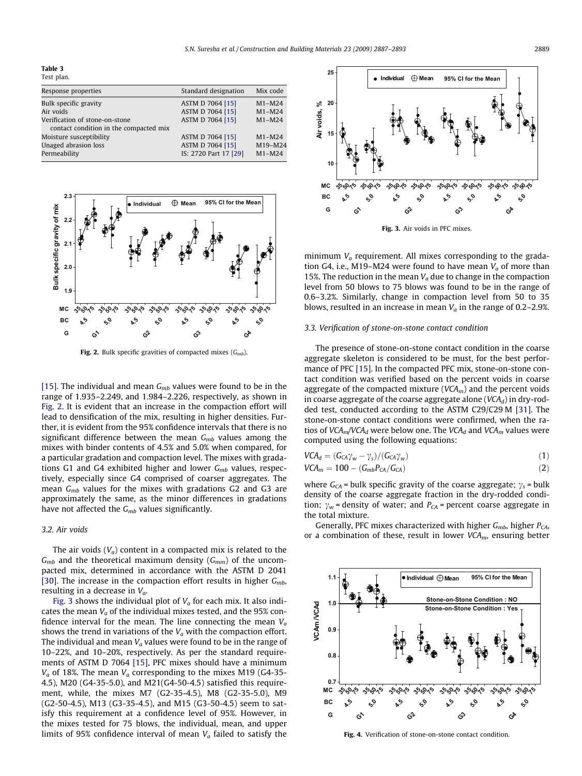<span id="page-2-0"></span>Table 3 Test plan.

| Response properties                    | Standard designation  | Mix code |
|----------------------------------------|-----------------------|----------|
| Bulk specific gravity                  | ASTM D 7064 [15]      | $M1-M24$ |
| Air voids                              | ASTM D 7064 [15]      | $M1-M24$ |
| Verification of stone-on-stone         | ASTM D 7064 [15]      | $M1-M24$ |
| contact condition in the compacted mix |                       |          |
| Moisture susceptibility                | ASTM D 7064 [15]      | $M1-M24$ |
| Unaged abrasion loss                   | ASTM D 7064 [15]      | M19-M24  |
| Permeability                           | IS: 2720 Part 17 [29] | $M1-M24$ |
|                                        |                       |          |



Fig. 2. Bulk specific gravities of compacted mixes  $(G_{\text{mb}})$ .

[\[15\].](#page-6-0) The individual and mean  $G<sub>mb</sub>$  values were found to be in the range of 1.935–2.249, and 1.984–2.226, respectively, as shown in Fig. 2. It is evident that an increase in the compaction effort will lead to densification of the mix, resulting in higher densities. Further, it is evident from the 95% confidence intervals that there is no significant difference between the mean  $G_{mb}$  values among the mixes with binder contents of 4.5% and 5.0% when compared, for a particular gradation and compaction level. The mixes with gradations G1 and G4 exhibited higher and lower  $G<sub>mb</sub>$  values, respectively, especially since G4 comprised of coarser aggregates. The mean  $G<sub>mb</sub>$  values for the mixes with gradations G2 and G3 are approximately the same, as the minor differences in gradations have not affected the  $G<sub>mb</sub>$  values significantly.

### 3.2. Air voids

The air voids  $(V_a)$  content in a compacted mix is related to the  $G_{mb}$  and the theoretical maximum density ( $G_{mm}$ ) of the uncompacted mix, determined in accordance with the ASTM D 2041 [\[30\].](#page-6-0) The increase in the compaction effort results in higher  $G_{mb}$ , resulting in a decrease in  $V_a$ .

Fig. 3 shows the individual plot of  $V_a$  for each mix. It also indicates the mean  $V_a$  of the individual mixes tested, and the 95% confidence interval for the mean. The line connecting the mean  $V_a$ shows the trend in variations of the  $V_a$  with the compaction effort. The individual and mean  $V_a$  values were found to be in the range of 10–22%, and 10–20%, respectively. As per the standard requirements of ASTM D 7064 [\[15\]](#page-6-0), PFC mixes should have a minimum  $V_a$  of 18%. The mean  $V_a$  corresponding to the mixes M19 (G4-35-4.5), M20 (G4-35-5.0), and M21(G4-50-4.5) satisfied this requirement, while, the mixes M7 (G2-35-4.5), M8 (G2-35-5.0), M9 (G2-50-4.5), M13 (G3-35-4.5), and M15 (G3-50-4.5) seem to satisfy this requirement at a confidence level of 95%. However, in the mixes tested for 75 blows, the individual, mean, and upper limits of 95% confidence interval of mean  $V_a$  failed to satisfy the



Fig. 3. Air voids in PFC mixes.

minimum  $V_a$  requirement. All mixes corresponding to the gradation G4, i.e., M19–M24 were found to have mean  $V_a$  of more than 15%. The reduction in the mean  $V_a$  due to change in the compaction level from 50 blows to 75 blows was found to be in the range of 0.6–3.2%. Similarly, change in compaction level from 50 to 35 blows, resulted in an increase in mean  $V_a$  in the range of 0.2–2.9%.

### 3.3. Verification of stone-on-stone contact condition

The presence of stone-on-stone contact condition in the coarse aggregate skeleton is considered to be must, for the best performance of PFC [\[15\].](#page-6-0) In the compacted PFC mix, stone-on-stone contact condition was verified based on the percent voids in coarse aggregate of the compacted mixture ( $VCA<sub>m</sub>$ ) and the percent voids in coarse aggregate of the coarse aggregate alone ( $VCA<sub>d</sub>$ ) in dry-rodded test, conducted according to the ASTM C29/C29 M [\[31\]](#page-6-0). The stone-on-stone contact conditions were confirmed, when the ratios of  $VCA_m/VCA_d$  were below one. The  $VCA_d$  and  $VCA_m$  values were computed using the following equations:

$$
VCA_d = (G_{CA}\gamma_w - \gamma_s)/(G_{CA}\gamma_w)
$$
\n(1)

$$
VCA_m = 100 - (G_{mb}P_{CA}/G_{CA})
$$
\n
$$
(2)
$$

where  $G_{CA}$  = bulk specific gravity of the coarse aggregate;  $\gamma_s$  = bulk density of the coarse aggregate fraction in the dry-rodded condition;  $\gamma_w$  = density of water; and  $P_{CA}$  = percent coarse aggregate in the total mixture.

Generally, PFC mixes characterized with higher  $G<sub>mb</sub>$ , higher  $P<sub>CA</sub>$ , or a combination of these, result in lower  $VCA_m$ , ensuring better



Fig. 4. Verification of stone-on-stone contact condition.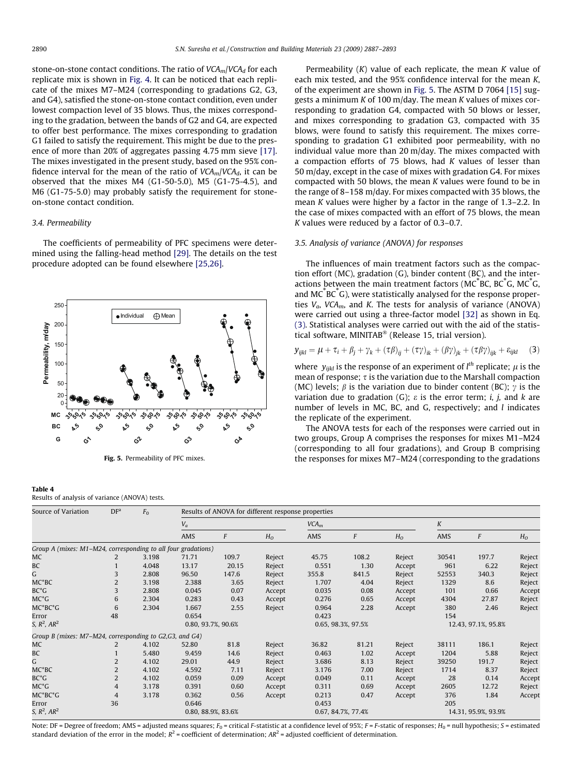<span id="page-3-0"></span>stone-on-stone contact conditions. The ratio of  $VCA<sub>m</sub>/VCA<sub>d</sub>$  for each replicate mix is shown in [Fig. 4](#page-2-0). It can be noticed that each replicate of the mixes M7–M24 (corresponding to gradations G2, G3, and G4), satisfied the stone-on-stone contact condition, even under lowest compaction level of 35 blows. Thus, the mixes corresponding to the gradation, between the bands of G2 and G4, are expected to offer best performance. The mixes corresponding to gradation G1 failed to satisfy the requirement. This might be due to the presence of more than 20% of aggregates passing 4.75 mm sieve [\[17\].](#page-6-0) The mixes investigated in the present study, based on the 95% confidence interval for the mean of the ratio of  $VCA<sub>m</sub>/VCA<sub>d</sub>$ , it can be observed that the mixes M4 (G1-50-5.0), M5 (G1-75-4.5), and M6 (G1-75-5.0) may probably satisfy the requirement for stoneon-stone contact condition.

### 3.4. Permeability

Table 4

Results of analysis of variance (ANOVA) tests.

The coefficients of permeability of PFC specimens were determined using the falling-head method [\[29\]](#page-6-0). The details on the test procedure adopted can be found elsewhere [\[25,26\]](#page-6-0).



Fig. 5. Permeability of PFC mixes.

Permeability  $(K)$  value of each replicate, the mean K value of each mix tested, and the 95% confidence interval for the mean K, of the experiment are shown in Fig. 5. The ASTM D 7064 [\[15\]](#page-6-0) suggests a minimum  $K$  of 100 m/day. The mean  $K$  values of mixes corresponding to gradation G4, compacted with 50 blows or lesser, and mixes corresponding to gradation G3, compacted with 35 blows, were found to satisfy this requirement. The mixes corresponding to gradation G1 exhibited poor permeability, with no individual value more than 20 m/day. The mixes compacted with a compaction efforts of 75 blows, had  $K$  values of lesser than 50 m/day, except in the case of mixes with gradation G4. For mixes compacted with 50 blows, the mean  $K$  values were found to be in the range of 8–158 m/day. For mixes compacted with 35 blows, the mean K values were higher by a factor in the range of 1.3–2.2. In the case of mixes compacted with an effort of 75 blows, the mean K values were reduced by a factor of 0.3–0.7.

### 3.5. Analysis of variance (ANOVA) for responses

The influences of main treatment factors such as the compaction effort (MC), gradation (G), binder content (BC), and the interactions between the main treatment factors (MC<sup>\*</sup>BC, BC<sup>\*</sup>G, MC<sup>\*</sup>G, and  $MC^{\dagger}BC^{\dagger}G$ ), were statistically analysed for the response properties  $V_a$ , VCA<sub>m</sub>, and K. The tests for analysis of variance (ANOVA) were carried out using a three-factor model [\[32\]](#page-6-0) as shown in Eq. (3). Statistical analyses were carried out with the aid of the statistical software, MINITAB<sup>®</sup> (Release 15, trial version).

$$
\mathbf{y}_{ijkl} = \mu + \tau_i + \beta_j + \gamma_k + (\tau \beta)_{ij} + (\tau \gamma)_{ik} + (\beta \gamma)_{jk} + (\tau \beta \gamma)_{ijk} + \varepsilon_{ijkl} \tag{3}
$$

where  $y_{ijkl}$  is the response of an experiment of  $l^{th}$  replicate;  $\mu$  is the mean of response;  $\tau$  is the variation due to the Marshall compaction (MC) levels;  $\beta$  is the variation due to binder content (BC);  $\gamma$  is the variation due to gradation (G);  $\varepsilon$  is the error term; *i*, *j*, and *k* are number of levels in MC, BC, and G, respectively; and  $l$  indicates the replicate of the experiment.

The ANOVA tests for each of the responses were carried out in two groups, Group A comprises the responses for mixes M1–M24 (corresponding to all four gradations), and Group B comprising the responses for mixes M7–M24 (corresponding to the gradations

| Source of Variation                                           | DF <sup>a</sup> | F <sub>0</sub> | Results of ANOVA for different response properties |                  |                |                    |                    |                |                     |       |                |
|---------------------------------------------------------------|-----------------|----------------|----------------------------------------------------|------------------|----------------|--------------------|--------------------|----------------|---------------------|-------|----------------|
|                                                               |                 |                | $V_a$                                              |                  |                | VCA <sub>m</sub>   |                    |                | K                   |       |                |
|                                                               |                 |                | AMS                                                | $\boldsymbol{F}$ | H <sub>o</sub> | AMS                | F                  | H <sub>0</sub> | AMS                 | F     | H <sub>o</sub> |
| Group A (mixes: M1-M24, corresponding to all four gradations) |                 |                |                                                    |                  |                |                    |                    |                |                     |       |                |
| МC                                                            | 2               | 3.198          | 71.71                                              | 109.7            | Reject         | 45.75              | 108.2              | Reject         | 30541               | 197.7 | Reject         |
| BC                                                            |                 | 4.048          | 13.17                                              | 20.15            | Reject         | 0.551              | 1.30               | Accept         | 961                 | 6.22  | Reject         |
| G                                                             | 3               | 2.808          | 96.50                                              | 147.6            | Reject         | 355.8              | 841.5              | Reject         | 52553               | 340.3 | Reject         |
| $MC^*BC$                                                      | 2               | 3.198          | 2.388                                              | 3.65             | Reject         | 1.707              | 4.04               | Reject         | 1329                | 8.6   | Reject         |
| $BC^*G$                                                       | 3               | 2.808          | 0.045                                              | 0.07             | Accept         | 0.035              | 0.08               | Accept         | 101                 | 0.66  | Accept         |
| $MC^*G$                                                       | 6               | 2.304          | 0.283                                              | 0.43             | Accept         | 0.276              | 0.65               | Accept         | 4304                | 27.87 | Reject         |
| $MC^*BC^*G$                                                   | 6               | 2.304          | 1.667                                              | 2.55             | Reject         | 0.964              | 2.28               | Accept         | 380                 | 2.46  | Reject         |
| Error                                                         | 48              |                | 0.654                                              |                  |                | 0.423              |                    |                | 154                 |       |                |
| S, $R^2$ , $AR^2$                                             |                 |                | 0.80, 93.7%, 90.6%                                 |                  |                | 0.65, 98.3%, 97.5% |                    |                | 12.43, 97.1%, 95.8% |       |                |
| Group B (mixes: M7-M24, corresponding to G2,G3, and G4)       |                 |                |                                                    |                  |                |                    |                    |                |                     |       |                |
| МC                                                            | 2               | 4.102          | 52.80                                              | 81.8             | Reject         | 36.82              | 81.21              | Reject         | 38111               | 186.1 | Reject         |
| BC                                                            |                 | 5.480          | 9.459                                              | 14.6             | Reject         | 0.463              | 1.02               | Accept         | 1204                | 5.88  | Reject         |
| G                                                             | 2               | 4.102          | 29.01                                              | 44.9             | Reject         | 3.686              | 8.13               | Reject         | 39250               | 191.7 | Reject         |
| $MC^*BC$                                                      | 2               | 4.102          | 4.592                                              | 7.11             | Reject         | 3.176              | 7.00               | Reject         | 1714                | 8.37  | Reject         |
| $BC^*G$                                                       | 2               | 4.102          | 0.059                                              | 0.09             | Accept         | 0.049              | 0.11               | Accept         | 28                  | 0.14  | Accept         |
| $MC^*G$                                                       | 4               | 3.178          | 0.391                                              | 0.60             | Accept         | 0.311              | 0.69               | Accept         | 2605                | 12.72 | Reject         |
| $MC^*BC^*G$                                                   | 4               | 3.178          | 0.362                                              | 0.56             | Accept         | 0.213              | 0.47               | Accept         | 376                 | 1.84  | Accept         |
| Error                                                         | 36              |                | 0.646                                              |                  |                | 0.453              |                    |                | 205                 |       |                |
| S, $R^2$ , $AR^2$                                             |                 |                | 0.80, 88.9%, 83.6%                                 |                  |                |                    | 0.67, 84.7%, 77.4% |                | 14.31, 95.9%, 93.9% |       |                |

Note: DF = Degree of freedom; AMS = adjusted means squares;  $F_0$  = critical F-statistic at a confidence level of 95%; F = F-static of responses;  $H_0$  = null hypothesis; S = estimated standard deviation of the error in the model;  $R^2$  = coefficient of determination;  $AR^2$  = adjusted coefficient of determination.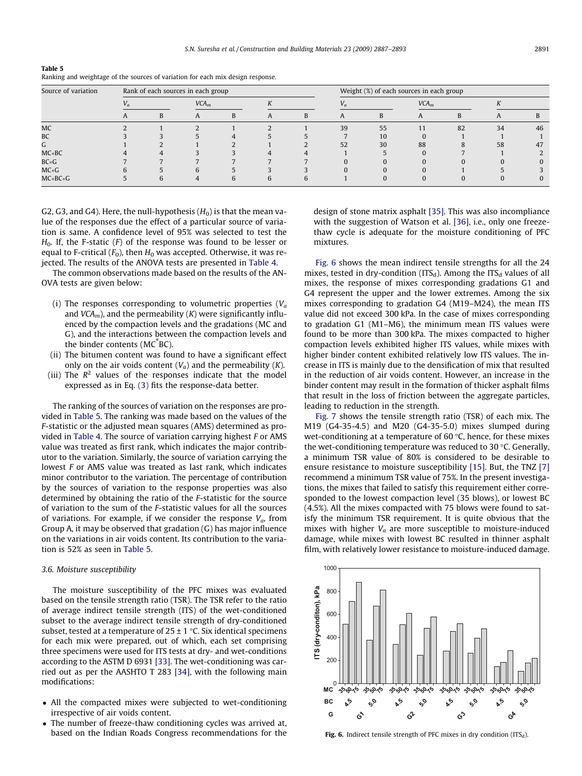S.N. Suresha et al. / Construction and Building Materials 23 (2009) 2887–2893 2891

| Table 5                                                                         |  |  |
|---------------------------------------------------------------------------------|--|--|
| Ranking and weightage of the sources of variation for each mix design response. |  |  |

| Source of variation |       |  | Rank of each sources in each group |  |  |  |    | Weight (%) of each sources in each group |    |                  |    |    |  |
|---------------------|-------|--|------------------------------------|--|--|--|----|------------------------------------------|----|------------------|----|----|--|
|                     | $V_a$ |  | VCA <sub>m</sub>                   |  |  |  |    | $V_a$                                    |    | VCA <sub>m</sub> |    |    |  |
|                     |       |  |                                    |  |  |  |    |                                          |    |                  |    |    |  |
| MC                  |       |  |                                    |  |  |  | 39 | 55                                       | 11 | 82               | 34 | 46 |  |
| BC                  |       |  |                                    |  |  |  |    | 10                                       |    |                  |    |    |  |
|                     |       |  |                                    |  |  |  | 52 | 30                                       | 88 |                  | 58 | 47 |  |
| $MC*BC$             |       |  |                                    |  |  |  |    |                                          |    |                  |    |    |  |
| $BC*G$              |       |  |                                    |  |  |  |    |                                          |    |                  |    |    |  |
| $MC * G$            |       |  |                                    |  |  |  |    |                                          |    |                  |    |    |  |
| $MC*BC*G$           |       |  |                                    |  |  |  |    |                                          |    |                  |    |    |  |

G2, G3, and G4). Here, the null-hypothesis  $(H_0)$  is that the mean value of the responses due the effect of a particular source of variation is same. A confidence level of 95% was selected to test the  $H<sub>0</sub>$ . If, the F-static (F) of the response was found to be lesser or equal to F-critical ( $F_0$ ), then  $H_0$  was accepted. Otherwise, it was rejected. The results of the ANOVA tests are presented in [Table 4.](#page-3-0)

The common observations made based on the results of the AN-OVA tests are given below:

- (i) The responses corresponding to volumetric properties  $(V_a)$ and  $VCA<sub>m</sub>$ ), and the permeability (K) were significantly influenced by the compaction levels and the gradations (MC and G), and the interactions between the compaction levels and the binder contents (MC BC).
- (ii) The bitumen content was found to have a significant effect only on the air voids content  $(V_a)$  and the permeability  $(K)$ .
- (iii) The  $R^2$  values of the responses indicate that the model expressed as in Eq. [\(3\)](#page-3-0) fits the response-data better.

The ranking of the sources of variation on the responses are provided in Table 5. The ranking was made based on the values of the F-statistic or the adjusted mean squares (AMS) determined as provided in [Table 4.](#page-3-0) The source of variation carrying highest F or AMS value was treated as first rank, which indicates the major contributor to the variation. Similarly, the source of variation carrying the lowest F or AMS value was treated as last rank, which indicates minor contributor to the variation. The percentage of contribution by the sources of variation to the response properties was also determined by obtaining the ratio of the F-statistic for the source of variation to the sum of the F-statistic values for all the sources of variations. For example, if we consider the response  $V_a$ , from Group A, it may be observed that gradation (G) has major influence on the variations in air voids content. Its contribution to the variation is 52% as seen in Table 5.

### 3.6. Moisture susceptibility

The moisture susceptibility of the PFC mixes was evaluated based on the tensile strength ratio (TSR). The TSR refer to the ratio of average indirect tensile strength (ITS) of the wet-conditioned subset to the average indirect tensile strength of dry-conditioned subset, tested at a temperature of  $25 \pm 1$  °C. Six identical specimens for each mix were prepared, out of which, each set comprising three specimens were used for ITS tests at dry- and wet-conditions according to the ASTM D 6931 [\[33\]](#page-6-0). The wet-conditioning was carried out as per the AASHTO T 283 [\[34\]](#page-6-0), with the following main modifications:

- All the compacted mixes were subjected to wet-conditioning irrespective of air voids content.
- The number of freeze-thaw conditioning cycles was arrived at, based on the Indian Roads Congress recommendations for the

design of stone matrix asphalt [\[35\]](#page-6-0). This was also incompliance with the suggestion of Watson et al. [\[36\],](#page-6-0) i.e., only one freezethaw cycle is adequate for the moisture conditioning of PFC mixtures.

Fig. 6 shows the mean indirect tensile strengths for all the 24 mixes, tested in dry-condition (ITS<sub>d</sub>). Among the ITS<sub>d</sub> values of all mixes, the response of mixes corresponding gradations G1 and G4 represent the upper and the lower extremes. Among the six mixes corresponding to gradation G4 (M19–M24), the mean ITS value did not exceed 300 kPa. In the case of mixes corresponding to gradation G1 (M1–M6), the minimum mean ITS values were found to be more than 300 kPa. The mixes compacted to higher compaction levels exhibited higher ITS values, while mixes with higher binder content exhibited relatively low ITS values. The increase in ITS is mainly due to the densification of mix that resulted in the reduction of air voids content. However, an increase in the binder content may result in the formation of thicker asphalt films that result in the loss of friction between the aggregate particles, leading to reduction in the strength.

[Fig. 7](#page-5-0) shows the tensile strength ratio (TSR) of each mix. The M19 (G4-35-4.5) and M20 (G4-35-5.0) mixes slumped during wet-conditioning at a temperature of 60  $\degree$ C, hence, for these mixes the wet-conditioning temperature was reduced to 30  $\degree$ C. Generally, a minimum TSR value of 80% is considered to be desirable to ensure resistance to moisture susceptibility [\[15\]](#page-6-0). But, the TNZ [\[7\]](#page-6-0) recommend a minimum TSR value of 75%. In the present investigations, the mixes that failed to satisfy this requirement either corresponded to the lowest compaction level (35 blows), or lowest BC (4.5%). All the mixes compacted with 75 blows were found to satisfy the minimum TSR requirement. It is quite obvious that the mixes with higher  $V_a$  are more susceptible to moisture-induced damage, while mixes with lowest BC resulted in thinner asphalt film, with relatively lower resistance to moisture-induced damage.



Fig. 6. Indirect tensile strength of PFC mixes in dry condition (ITS $_d$ ).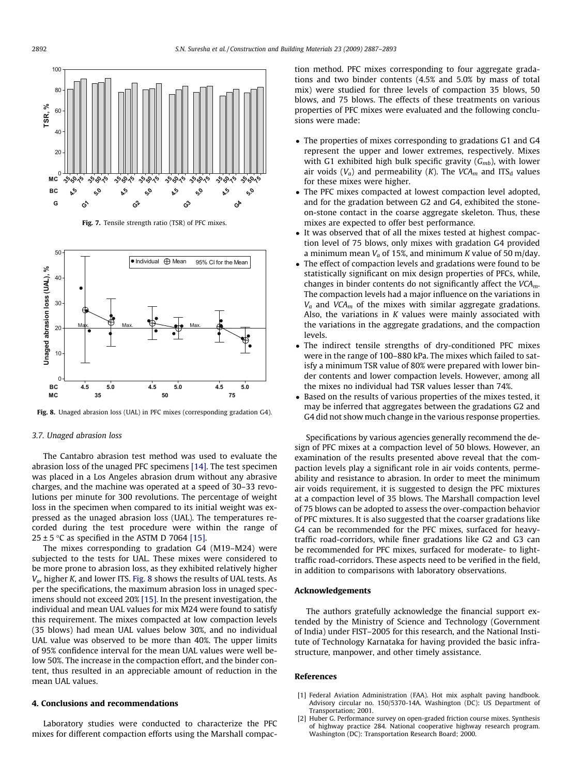<span id="page-5-0"></span>

Fig. 7. Tensile strength ratio (TSR) of PFC mixes.



### 3.7. Unaged abrasion loss

The Cantabro abrasion test method was used to evaluate the abrasion loss of the unaged PFC specimens [\[14\]](#page-6-0). The test specimen was placed in a Los Angeles abrasion drum without any abrasive charges, and the machine was operated at a speed of 30–33 revolutions per minute for 300 revolutions. The percentage of weight loss in the specimen when compared to its initial weight was expressed as the unaged abrasion loss (UAL). The temperatures recorded during the test procedure were within the range of  $25 \pm 5$  °C as specified in the ASTM D 7064 [\[15\]](#page-6-0).

The mixes corresponding to gradation G4 (M19–M24) were subjected to the tests for UAL. These mixes were considered to be more prone to abrasion loss, as they exhibited relatively higher  $V_a$ , higher K, and lower ITS. Fig. 8 shows the results of UAL tests. As per the specifications, the maximum abrasion loss in unaged specimens should not exceed 20% [\[15\]](#page-6-0). In the present investigation, the individual and mean UAL values for mix M24 were found to satisfy this requirement. The mixes compacted at low compaction levels (35 blows) had mean UAL values below 30%, and no individual UAL value was observed to be more than 40%. The upper limits of 95% confidence interval for the mean UAL values were well below 50%. The increase in the compaction effort, and the binder content, thus resulted in an appreciable amount of reduction in the mean UAL values.

### 4. Conclusions and recommendations

Laboratory studies were conducted to characterize the PFC mixes for different compaction efforts using the Marshall compaction method. PFC mixes corresponding to four aggregate gradations and two binder contents (4.5% and 5.0% by mass of total mix) were studied for three levels of compaction 35 blows, 50 blows, and 75 blows. The effects of these treatments on various properties of PFC mixes were evaluated and the following conclusions were made:

- The properties of mixes corresponding to gradations G1 and G4 represent the upper and lower extremes, respectively. Mixes with G1 exhibited high bulk specific gravity  $(G_{mb})$ , with lower air voids ( $V_a$ ) and permeability (K). The VCA<sub>m</sub> and ITS<sub>d</sub> values for these mixes were higher.
- The PFC mixes compacted at lowest compaction level adopted, and for the gradation between G2 and G4, exhibited the stoneon-stone contact in the coarse aggregate skeleton. Thus, these mixes are expected to offer best performance.
- It was observed that of all the mixes tested at highest compaction level of 75 blows, only mixes with gradation G4 provided a minimum mean  $V_a$  of 15%, and minimum K value of 50 m/day.
- The effect of compaction levels and gradations were found to be statistically significant on mix design properties of PFCs, while, changes in binder contents do not significantly affect the  $VCA<sub>m</sub>$ . The compaction levels had a major influence on the variations in  $V_a$  and VCA<sub>m</sub> of the mixes with similar aggregate gradations. Also, the variations in  $K$  values were mainly associated with the variations in the aggregate gradations, and the compaction levels.
- The indirect tensile strengths of dry-conditioned PFC mixes were in the range of 100–880 kPa. The mixes which failed to satisfy a minimum TSR value of 80% were prepared with lower binder contents and lower compaction levels. However, among all the mixes no individual had TSR values lesser than 74%.
- Based on the results of various properties of the mixes tested, it may be inferred that aggregates between the gradations G2 and G4 did not show much change in the various response properties.

Specifications by various agencies generally recommend the design of PFC mixes at a compaction level of 50 blows. However, an examination of the results presented above reveal that the compaction levels play a significant role in air voids contents, permeability and resistance to abrasion. In order to meet the minimum air voids requirement, it is suggested to design the PFC mixtures at a compaction level of 35 blows. The Marshall compaction level of 75 blows can be adopted to assess the over-compaction behavior of PFC mixtures. It is also suggested that the coarser gradations like G4 can be recommended for the PFC mixes, surfaced for heavytraffic road-corridors, while finer gradations like G2 and G3 can be recommended for PFC mixes, surfaced for moderate- to lighttraffic road-corridors. These aspects need to be verified in the field, in addition to comparisons with laboratory observations.

### Acknowledgements

The authors gratefully acknowledge the financial support extended by the Ministry of Science and Technology (Government of India) under FIST–2005 for this research, and the National Institute of Technology Karnataka for having provided the basic infrastructure, manpower, and other timely assistance.

### References

- [1] Federal Aviation Administration (FAA). Hot mix asphalt paving handbook. Advisory circular no. 150/5370-14A. Washington (DC): US Department of Transportation; 2001.
- [2] Huber G. Performance survey on open-graded friction course mixes. Synthesis of highway practice 284. National cooperative highway research program. Washington (DC): Transportation Research Board; 2000.